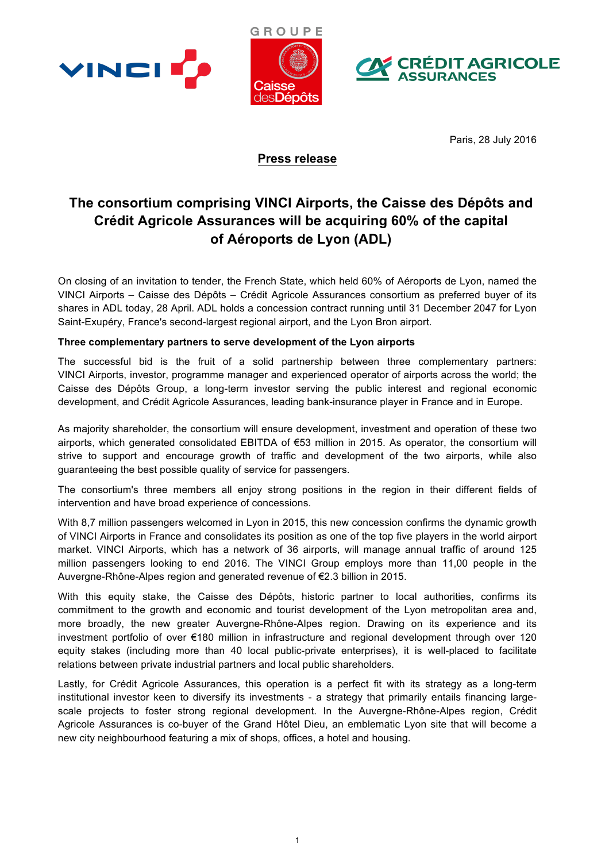





Paris, 28 July 2016

## **Press release**

# **The consortium comprising VINCI Airports, the Caisse des Dépôts and Crédit Agricole Assurances will be acquiring 60% of the capital of Aéroports de Lyon (ADL)**

On closing of an invitation to tender, the French State, which held 60% of Aéroports de Lyon, named the VINCI Airports – Caisse des Dépôts – Crédit Agricole Assurances consortium as preferred buyer of its shares in ADL today, 28 April. ADL holds a concession contract running until 31 December 2047 for Lyon Saint-Exupéry, France's second-largest regional airport, and the Lyon Bron airport.

## **Three complementary partners to serve development of the Lyon airports**

The successful bid is the fruit of a solid partnership between three complementary partners: VINCI Airports, investor, programme manager and experienced operator of airports across the world; the Caisse des Dépôts Group, a long-term investor serving the public interest and regional economic development, and Crédit Agricole Assurances, leading bank-insurance player in France and in Europe.

As majority shareholder, the consortium will ensure development, investment and operation of these two airports, which generated consolidated EBITDA of €53 million in 2015. As operator, the consortium will strive to support and encourage growth of traffic and development of the two airports, while also guaranteeing the best possible quality of service for passengers.

The consortium's three members all enjoy strong positions in the region in their different fields of intervention and have broad experience of concessions.

With 8,7 million passengers welcomed in Lyon in 2015, this new concession confirms the dynamic growth of VINCI Airports in France and consolidates its position as one of the top five players in the world airport market. VINCI Airports, which has a network of 36 airports, will manage annual traffic of around 125 million passengers looking to end 2016. The VINCI Group employs more than 11,00 people in the Auvergne-Rhône-Alpes region and generated revenue of €2.3 billion in 2015.

With this equity stake, the Caisse des Dépôts, historic partner to local authorities, confirms its commitment to the growth and economic and tourist development of the Lyon metropolitan area and, more broadly, the new greater Auvergne-Rhône-Alpes region. Drawing on its experience and its investment portfolio of over €180 million in infrastructure and regional development through over 120 equity stakes (including more than 40 local public-private enterprises), it is well-placed to facilitate relations between private industrial partners and local public shareholders.

Lastly, for Crédit Agricole Assurances, this operation is a perfect fit with its strategy as a long-term institutional investor keen to diversify its investments - a strategy that primarily entails financing largescale projects to foster strong regional development. In the Auvergne-Rhône-Alpes region, Crédit Agricole Assurances is co-buyer of the Grand Hôtel Dieu, an emblematic Lyon site that will become a new city neighbourhood featuring a mix of shops, offices, a hotel and housing.